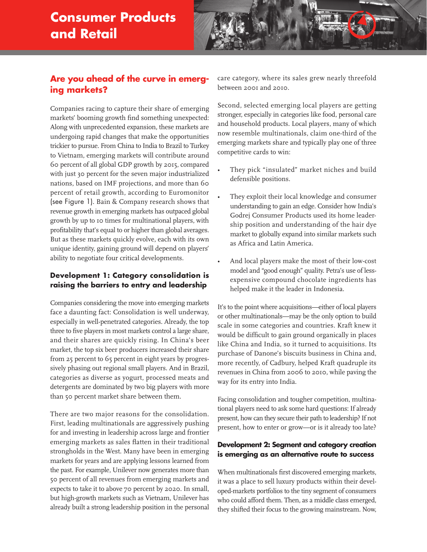# **Consumer Products and Retail**



# **Are you ahead of the curve in emerging markets?**

Companies racing to capture their share of emerging markets' booming growth find something unexpected: Along with unprecedented expansion, these markets are undergoing rapid changes that make the opportunities trickier to pursue. From China to India to Brazil to Turkey to Vietnam, emerging markets will contribute around 60 percent of all global GDP growth by 2015, compared with just 30 percent for the seven major industrialized nations, based on IMF projections, and more than 60 percent of retail growth, according to Euromonitor (see Figure 1). Bain & Company research shows that revenue growth in emerging markets has outpaced global growth by up to 10 times for multinational players, with profitability that's equal to or higher than global averages. But as these markets quickly evolve, each with its own unique identity, gaining ground will depend on players' ability to negotiate four critical developments.

### **Development 1: Category consolidation is raising the barriers to entry and leadership**

Companies considering the move into emerging markets face a daunting fact: Consolidation is well underway, especially in well-penetrated categories. Already, the top three to five players in most markets control a large share, and their shares are quickly rising. In China's beer market, the top six beer producers increased their share from 25 percent to 65 percent in eight years by progressively phasing out regional small players. And in Brazil, categories as diverse as yogurt, processed meats and detergents are dominated by two big players with more than 50 percent market share between them.

There are two major reasons for the consolidation. First, leading multinationals are aggressively pushing for and investing in leadership across large and frontier emerging markets as sales flatten in their traditional strongholds in the West. Many have been in emerging markets for years and are applying lessons learned from the past. For example, Unilever now generates more than 50 percent of all revenues from emerging markets and expects to take it to above 70 percent by 2020. In small, but high-growth markets such as Vietnam, Unilever has already built a strong leadership position in the personal

care category, where its sales grew nearly threefold between 2001 and 2010.

Second, selected emerging local players are getting stronger, especially in categories like food, personal care and household products. Local players, many of which now resemble multinationals, claim one-third of the emerging markets share and typically play one of three competitive cards to win:

- They pick "insulated" market niches and build defensible positions.
- They exploit their local knowledge and consumer understanding to gain an edge. Consider how India's Godrej Consumer Products used its home leadership position and understanding of the hair dye market to globally expand into similar markets such as Africa and Latin America.
- And local players make the most of their low-cost model and "good enough" quality. Petra's use of lessexpensive compound chocolate ingredients has helped make it the leader in Indonesia.

It's to the point where acquisitions—either of local players or other multinationals—may be the only option to build scale in some categories and countries. Kraft knew it would be difficult to gain ground organically in places like China and India, so it turned to acquisitions. Its purchase of Danone's biscuits business in China and, more recently, of Cadbury, helped Kraft quadruple its revenues in China from 2006 to 2010, while paving the way for its entry into India.

Facing consolidation and tougher competition, multinational players need to ask some hard questions: If already present, how can they secure their path to leadership? If not present, how to enter or grow—or is it already too late?

#### **Development 2: Segment and category creation is emerging as an alternative route to success**

When multinationals first discovered emerging markets, it was a place to sell luxury products within their developed-markets portfolios to the tiny segment of consumers who could afford them. Then, as a middle class emerged, they shifted their focus to the growing mainstream. Now,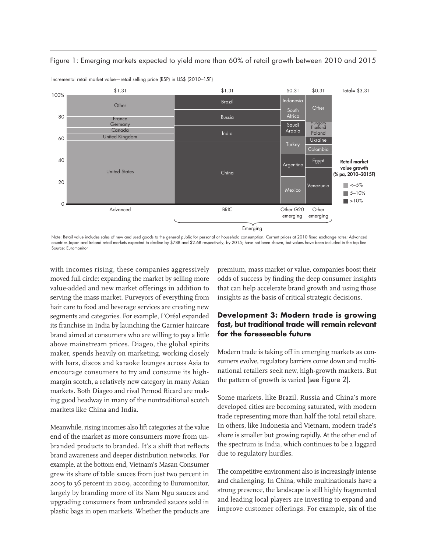

Figure 1: Emerging markets expected to yield more than 60% of retail growth between 2010 and 2015

Note: Retail value includes sales of new and used goods to the general public for personal or household consumption; Current prices at 2010 fixed exchange rates; Advanced countries Japan and Ireland retail markets expected to decline by \$78B and \$2.6B respectively, by 2015; have not been shown, but values have been included in the top line Source: Euromonitor

with incomes rising, these companies aggressively moved full circle: expanding the market by selling more value-added and new market offerings in addition to serving the mass market. Purveyors of everything from hair care to food and beverage services are creating new segments and categories. For example, L'Oréal expanded its franchise in India by launching the Garnier haircare brand aimed at consumers who are willing to pay a little above mainstream prices. Diageo, the global spirits maker, spends heavily on marketing, working closely with bars, discos and karaoke lounges across Asia to encourage consumers to try and consume its highmargin scotch, a relatively new category in many Asian markets. Both Diageo and rival Pernod Ricard are making good headway in many of the nontraditional scotch markets like China and India.

Incremental retail market value—retail selling price (RSP) in US\$ (2010–15F)

Meanwhile, rising incomes also lift categories at the value end of the market as more consumers move from unbranded products to branded. It's a shift that reflects brand awareness and deeper distribution networks. For example, at the bottom end, Vietnam's Masan Consumer grew its share of table sauces from just two percent in 2005 to 36 percent in 2009, according to Euromonitor, largely by branding more of its Nam Ngu sauces and upgrading consumers from unbranded sauces sold in plastic bags in open markets. Whether the products are premium, mass market or value, companies boost their odds of success by finding the deep consumer insights that can help accelerate brand growth and using those insights as the basis of critical strategic decisions.

### **Development 3: Modern trade is growing fast, but traditional trade will remain relevant for the foreseeable future**

Modern trade is taking off in emerging markets as consumers evolve, regulatory barriers come down and multinational retailers seek new, high-growth markets. But the pattern of growth is varied (see Figure 2).

Some markets, like Brazil, Russia and China's more developed cities are becoming saturated, with modern trade representing more than half the total retail share. In others, like Indonesia and Vietnam, modern trade's share is smaller but growing rapidly. At the other end of the spectrum is India, which continues to be a laggard due to regulatory hurdles.

The competitive environment also is increasingly intense and challenging. In China, while multinationals have a strong presence, the landscape is still highly fragmented and leading local players are investing to expand and improve customer offerings. For example, six of the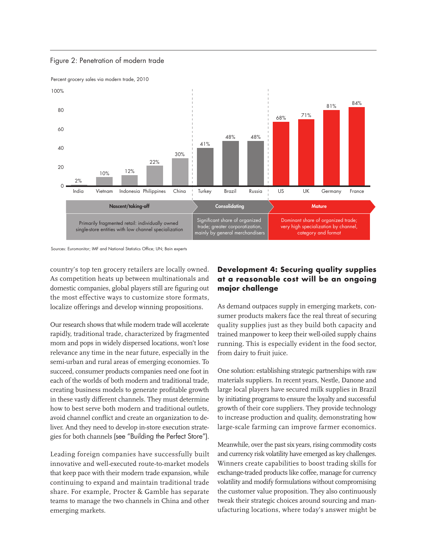

Figure 2: Penetration of modern trade



country's top ten grocery retailers are locally owned. As competition heats up between multinationals and domestic companies, global players still are figuring out the most effective ways to customize store formats, localize offerings and develop winning propositions.

Our research shows that while modern trade will accelerate rapidly, traditional trade, characterized by fragmented mom and pops in widely dispersed locations, won't lose relevance any time in the near future, especially in the semi-urban and rural areas of emerging economies. To succeed, consumer products companies need one foot in each of the worlds of both modern and traditional trade, creating business models to generate profitable growth in these vastly different channels. They must determine how to best serve both modern and traditional outlets, avoid channel conflict and create an organization to deliver. And they need to develop in-store execution strategies for both channels (see "Building the Perfect Store").

Leading foreign companies have successfully built innovative and well-executed route-to-market models that keep pace with their modern trade expansion, while continuing to expand and maintain traditional trade share. For example, Procter & Gamble has separate teams to manage the two channels in China and other emerging markets.

## **Development 4: Securing quality supplies at a reasonable cost will be an ongoing major challenge**

As demand outpaces supply in emerging markets, consumer products makers face the real threat of securing quality supplies just as they build both capacity and trained manpower to keep their well-oiled supply chains running. This is especially evident in the food sector, from dairy to fruit juice.

One solution: establishing strategic partnerships with raw materials suppliers. In recent years, Nestle, Danone and large local players have secured milk supplies in Brazil by initiating programs to ensure the loyalty and successful growth of their core suppliers. They provide technology to increase production and quality, demonstrating how large-scale farming can improve farmer economics.

Meanwhile, over the past six years, rising commodity costs and currency risk volatility have emerged as key challenges. Winners create capabilities to boost trading skills for exchange-traded products like coffee, manage for currency volatility and modify formulations without compromising the customer value proposition. They also continuously tweak their strategic choices around sourcing and manufacturing locations, where today's answer might be

Sources: Euromonitor; IMF and National Statistics Office; UN; Bain experts